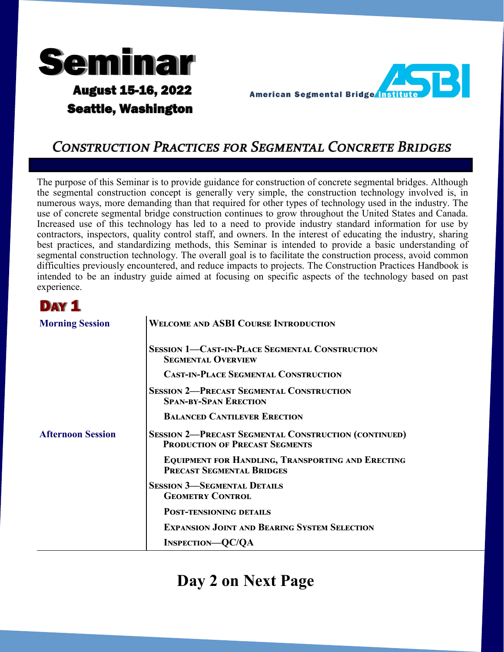

**Seattle, Washington** 

**AST American Segmental Bridge Insti** 

# **CONSTRUCTION PRACTICES FOR SEGMENTAL CONCRETE BRIDGES**

The purpose of this Seminar is to provide guidance for construction of concrete segmental bridges. Although the segmental construction concept is generally very simple, the construction technology involved is, in numerous ways, more demanding than that required for other types of technology used in the industry. The use of concrete segmental bridge construction continues to grow throughout the United States and Canada. Increased use of this technology has led to a need to provide industry standard information for use by contractors, inspectors, quality control staff, and owners. In the interest of educating the industry, sharing best practices, and standardizing methods, this Seminar is intended to provide a basic understanding of segmental construction technology. The overall goal is to facilitate the construction process, avoid common difficulties previously encountered, and reduce impacts to projects. The Construction Practices Handbook is intended to be an industry guide aimed at focusing on specific aspects of the technology based on past experience.

### DAY<sub>1</sub>

| <b>Morning Session</b>   | <b>WELCOME AND ASBI COURSE INTRODUCTION</b>                                                          |
|--------------------------|------------------------------------------------------------------------------------------------------|
|                          | <b>SESSION 1-CAST-IN-PLACE SEGMENTAL CONSTRUCTION</b><br><b>SEGMENTAL OVERVIEW</b>                   |
|                          | <b>CAST-IN-PLACE SEGMENTAL CONSTRUCTION</b>                                                          |
|                          | <b>SESSION 2-PRECAST SEGMENTAL CONSTRUCTION</b><br><b>SPAN-BY-SPAN ERECTION</b>                      |
|                          | <b>BALANCED CANTILEVER ERECTION</b>                                                                  |
| <b>Afternoon Session</b> | <b>SESSION 2-PRECAST SEGMENTAL CONSTRUCTION (CONTINUED)</b><br><b>PRODUCTION OF PRECAST SEGMENTS</b> |
|                          | <b>EQUIPMENT FOR HANDLING, TRANSPORTING AND ERECTING</b><br><b>PRECAST SEGMENTAL BRIDGES</b>         |
|                          | <b>SESSION 3-SEGMENTAL DETAILS</b><br><b>GEOMETRY CONTROL</b>                                        |
|                          | <b>POST-TENSIONING DETAILS</b>                                                                       |
|                          | <b>EXPANSION JOINT AND BEARING SYSTEM SELECTION</b>                                                  |
|                          | <b>INSPECTION—QC/QA</b>                                                                              |

# **Day 2 on Next Page**